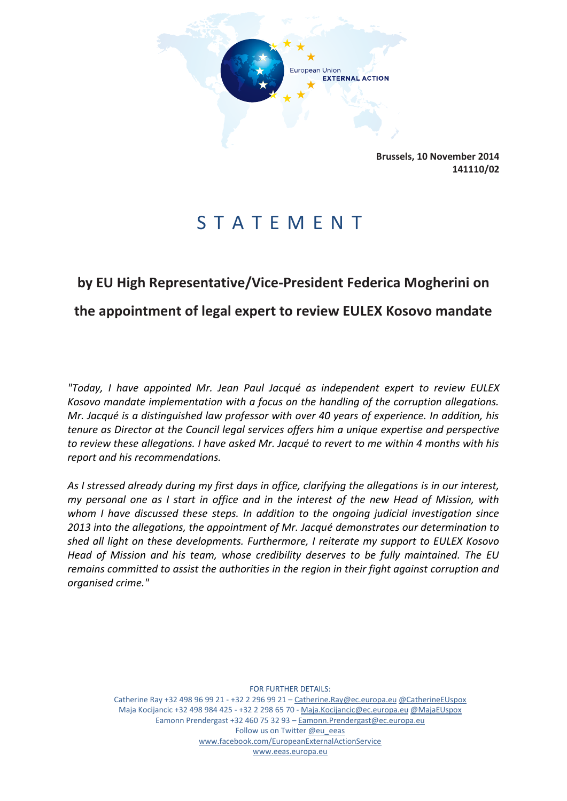

**Brussels, 10 November 2014 141110/02**

## S T A T E M E N T

## **by EU High Representative/Vice-President Federica Mogherini on the appointment of legal expert to review EULEX Kosovo mandate**

*"Today, I have appointed Mr. Jean Paul Jacqué as independent expert to review EULEX Kosovo mandate implementation with a focus on the handling of the corruption allegations. Mr. Jacqué is a distinguished law professor with over 40 years of experience. In addition, his tenure as Director at the Council legal services offers him a unique expertise and perspective to review these allegations. I have asked Mr. Jacqué to revert to me within 4 months with his report and his recommendations.* 

*As I stressed already during my first days in office, clarifying the allegations is in our interest, my personal one as I start in office and in the interest of the new Head of Mission, with whom I have discussed these steps. In addition to the ongoing judicial investigation since 2013 into the allegations, the appointment of Mr. Jacqué demonstrates our determination to shed all light on these developments. Furthermore, I reiterate my support to EULEX Kosovo Head of Mission and his team, whose credibility deserves to be fully maintained. The EU remains committed to assist the authorities in the region in their fight against corruption and organised crime."*

FOR FURTHER DETAILS:

Catherine Ray +32 498 96 99 21 - +32 2 296 99 21 – [Catherine.Ray@ec.europa.eu](mailto:Catherine.Ray@ec.europa.eu) [@CatherineEUspox](https://twitter.com/CatherineEUspox) Maja Kocijancic +32 498 984 425 - +32 2 298 65 70 - [Maja.Kocijancic@ec.europa.eu](file:///C:/Users/lievrde/AppData/Local/Microsoft/Windows/Temporary%20Internet%20Files/Content.Outlook/B3E41T5W/Maja.Kocijancic@ec.europa.eu) [@MajaEUspox](https://twitter.com/AshtonSpox_Maja) Eamonn Prendergast +32 460 75 32 93 - [Eamonn.Prendergast@ec.europa.eu](mailto:Eamonn.Prendergast@ec.europa.eu) Follow us on Twitter [@eu\\_eeas](https://twitter.com/eu_eeas) [www.facebook.com/EuropeanExternalActionService](http://www.facebook.com/EuropeanExternalActionService) [www.eeas.europa.eu](file:///C:/Users/lievrde/AppData/Local/Microsoft/Windows/Temporary%20Internet%20Files/Content.Outlook/B3E41T5W/www.eeas.europa.eu)